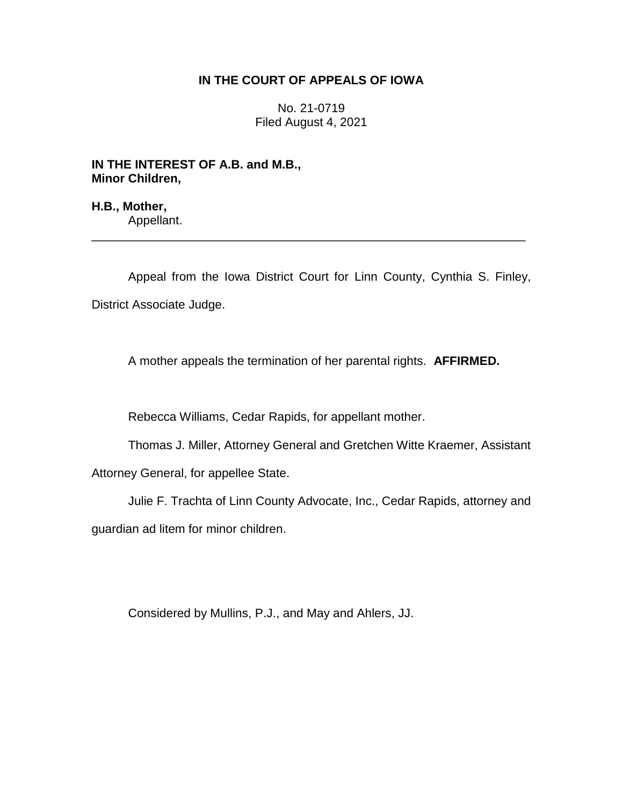## **IN THE COURT OF APPEALS OF IOWA**

No. 21-0719 Filed August 4, 2021

**IN THE INTEREST OF A.B. and M.B., Minor Children,**

**H.B., Mother,** Appellant.

Appeal from the Iowa District Court for Linn County, Cynthia S. Finley, District Associate Judge.

\_\_\_\_\_\_\_\_\_\_\_\_\_\_\_\_\_\_\_\_\_\_\_\_\_\_\_\_\_\_\_\_\_\_\_\_\_\_\_\_\_\_\_\_\_\_\_\_\_\_\_\_\_\_\_\_\_\_\_\_\_\_\_\_

A mother appeals the termination of her parental rights. **AFFIRMED.**

Rebecca Williams, Cedar Rapids, for appellant mother.

Thomas J. Miller, Attorney General and Gretchen Witte Kraemer, Assistant

Attorney General, for appellee State.

Julie F. Trachta of Linn County Advocate, Inc., Cedar Rapids, attorney and guardian ad litem for minor children.

Considered by Mullins, P.J., and May and Ahlers, JJ.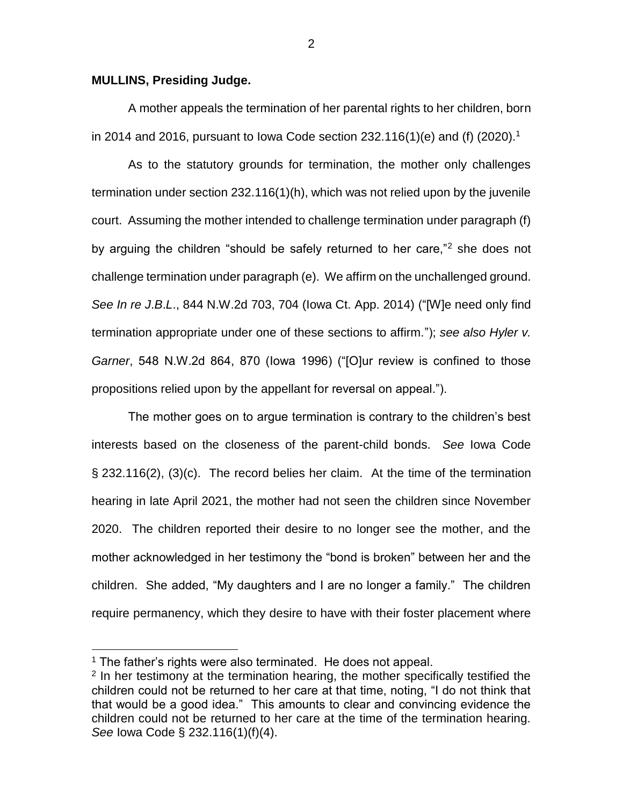## **MULLINS, Presiding Judge.**

A mother appeals the termination of her parental rights to her children, born in 2014 and 2016, pursuant to Iowa Code section 232.116(1)(e) and (f) (2020).<sup>1</sup>

As to the statutory grounds for termination, the mother only challenges termination under section 232.116(1)(h), which was not relied upon by the juvenile court. Assuming the mother intended to challenge termination under paragraph (f) by arguing the children "should be safely returned to her care,"<sup>2</sup> she does not challenge termination under paragraph (e). We affirm on the unchallenged ground. *See In re J*.*B*.*L*., 844 N.W.2d 703, 704 (Iowa Ct. App. 2014) ("[W]e need only find termination appropriate under one of these sections to affirm."); *see also Hyler v. Garner*, 548 N.W.2d 864, 870 (Iowa 1996) ("[O]ur review is confined to those propositions relied upon by the appellant for reversal on appeal.").

The mother goes on to argue termination is contrary to the children's best interests based on the closeness of the parent-child bonds. *See* Iowa Code § 232.116(2), (3)(c). The record belies her claim. At the time of the termination hearing in late April 2021, the mother had not seen the children since November 2020. The children reported their desire to no longer see the mother, and the mother acknowledged in her testimony the "bond is broken" between her and the children. She added, "My daughters and I are no longer a family." The children require permanency, which they desire to have with their foster placement where

 $\overline{a}$ 

2

<sup>&</sup>lt;sup>1</sup> The father's rights were also terminated. He does not appeal.

<sup>&</sup>lt;sup>2</sup> In her testimony at the termination hearing, the mother specifically testified the children could not be returned to her care at that time, noting, "I do not think that that would be a good idea." This amounts to clear and convincing evidence the children could not be returned to her care at the time of the termination hearing. *See* Iowa Code § 232.116(1)(f)(4).